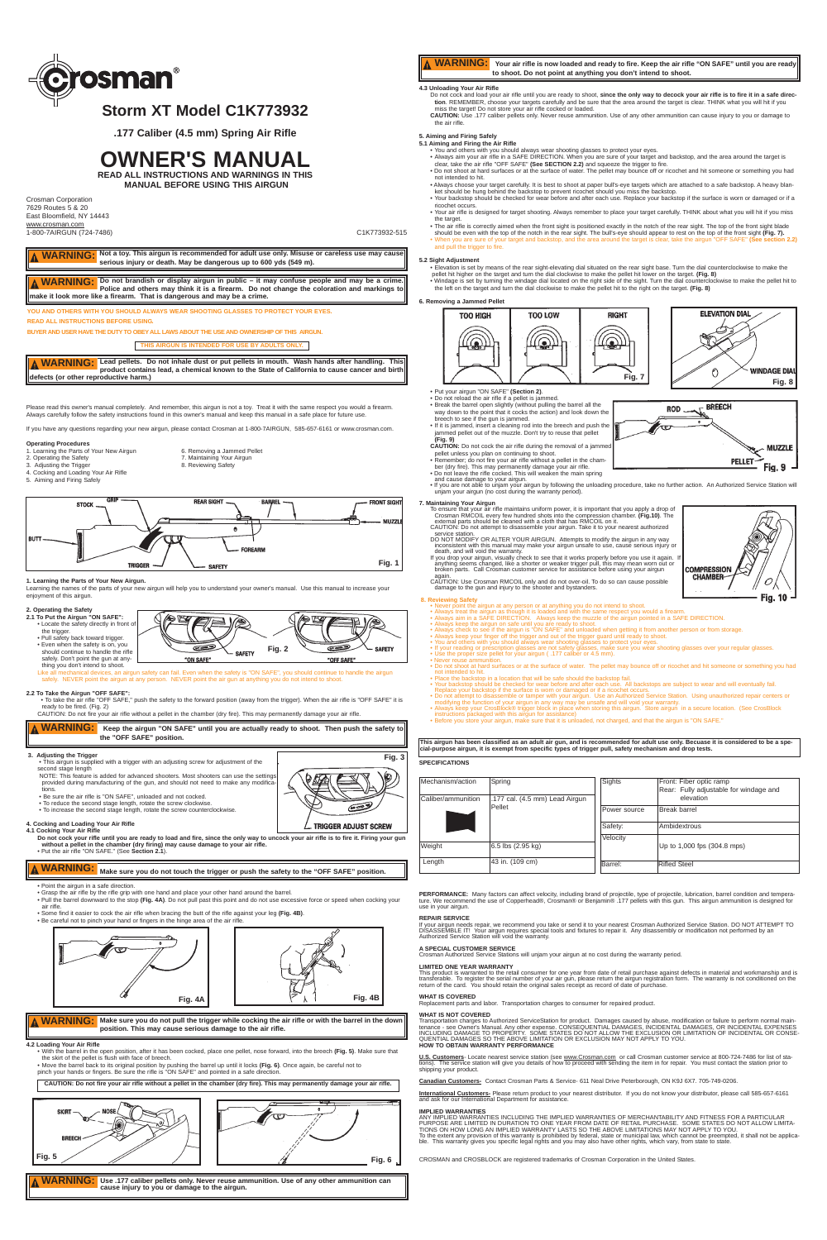Please read this owner's manual completely. And remember, this airgun is not a toy. Treat it with the same respect you would a firearm. Always carefully follow the safety instructions found in this owner's manual and keep this manual in a safe place for future use.

- 1. Learning the Parts of Your New Airgun 6. Removing a Jammed Pellet 2. Operating the Safety and T. Maintaining Your Airgun
	- 7. Maintaining Your Airgun<br>8. Reviewing Safety
- 3. Adjusting the Trigger
- 4. Cocking and Loading Your Air Rifle
- 5. Aiming and Firing Safely

If you have any questions regarding your new airgun, please contact Crosman at 1-800-7AIRGUN, 585-657-6161 or www.crosman.com.

### **Operating Procedures**

### **1. Learning the Parts of Your New Airgun.**

Learning the names of the parts of your new airgun will help you to understand your owner's manual. Use this manual to increase your enjoyment of this airgun.

• This airgun is supplied with a trigger with an adjusting screw for adjustment of the second stage length

- 
- **2. Operating the Safety 2.1 To Put the Airgun "ON SAFE":** (<del>d</del>e lez • Locate the safety directly in front of the trigger. • Pull safety back toward trigger. • Even when the safety is on, you should continue to handle the rifle E  $\sum$ **SAFETY Fig. 2** SAFETY safely. Don't point the gun at any-"ON SAFE" "OFF SAFE" thing you don't intend to shoot.

### echanical devices, an airgun safety can fail. Even when the safety is "ON SAFE", you should continue to handle the airgun safely. NEVER point the airgun at any person. NEVER point the air gun at anything you do not intend to shoot.

- Be sure the air rifle is "ON SAFF", unloaded and not cocked.
- To reduce the second stage length, rotate the screw clockwise.
- To increase the second stage length, rotate the screw counterclockwise.

**2.2 To Take the Airgun "OFF SAFE":** • To take the air rifle "OFF SAFE," push the safety to the forward position (away from the trigger). When the air rifle is "OFF SAFE" it is ready to be fired. (Fig. 2)

CAUTION: Do not fire your air rifle without a pellet in the chamber (dry fire). This may permanently damage your air rifle.

### **3. Adjusting the Trigger**

NOTE: This feature is added for advanced shooters. Most shooters can use the settings provided during manufacturing of the gun, and should not need to make any modifica-tions.

## **4. Cocking and Loading Your Air Rifle**

**4.1 Cocking Your Air Rifle Do not cock your rifle until you are ready to load and fire, since the only way to uncock your air rifle is to fire it. Firing your gun without a pellet in the chamber (dry firing) may cause damage to your air rifle.** • Put the air rifle "ON SAFE." (See **Section 2.1**).

• Point the airgun in a safe direction. • Grasp the air rifle by the rifle grip with one hand and place your other hand around the barrel.

**U.S. Customers**- Locate nearest service station (see www.Crosman.com or call Crosman customer service at 800-724-7486 for list of sta-The service station will give you details of how to proceed with sending the item in for repair. You must contact the station prior to shipping your product.

• Pull the barrel downward to the stop **(Fig. 4A)**. Do not pull past this point and do not use excessive force or speed when cocking your air rifle.

• Some find it easier to cock the air rifle when bracing the butt of the rifle against your leg **(Fig. 4B)**.

• Be careful not to pinch your hand or fingers in the hinge area of the air rifle.

ANY IMPLIED WARRANTIES INCLUDING THE IMPLIED WARRANTIES OF MERCHANTABILITY AND FITNESS FOR A PARTICULAR PURPOSE ARE LIMITED IN DURATION TO ONE YEAR FROM DATE OF RETAIL PURCHASE. SOME STATES DO NOT ALLOW LIMITA-<br>TIONS ON HOW LONG AN IMPLIED WARRANTY LASTS SO THE ABOVE LIMITATIONS MAY NOT APPLY TO YOU. To the extent any provision of this warranty is prohibited by federal, state or municipal law, which cannot be preempted, it shall not be applica-<br>ble. This warranty gives you specific legal rights and you may also have o

### **4.2 Loading Your Air Rifle**

Δ

• With the barrel in the open position, after it has been cocked, place one pellet, nose forward, into the breech **(Fig. 5)**. Make sure that the skirt of the pellet is flush with face of breech. • Move the barrel back to its original position by pushing the barrel up until it locks **(Fig. 6)**. Once again, be careful not to

Do not cock and load your air rifle until you are ready to shoot, **since the only way to decock your air rifle is to fire it in a safe direction**. REMEMBER, choose your targets carefully and be sure that the area around the target is clear. THINK what you will hit if you<br>miss the target! Do not store your air rifle cocked or loaded.

pinch your hands or fingers. Be sure the rifle is "ON SAFE" and pointed in a safe direction.

**YOU AND OTHERS WITH YOU SHOULD ALWAYS WEAR SHOOTING GLASSES TO PROTECT YOUR EYES. READ ALL INSTRUCTIONS BEFORE USING.**

**BUYER AND USER HAVE THE DUTY TO OBEY ALL LAWS ABOUT THE USE AND OWNERSHIP OF THIS AIRGUN.** 



### **REPAIR SERVICE**

If your airgun needs repair, we recommend you take or send it to your nearest Crosman Authorized Service Station. DO NOT ATTEMPT TO<br>DISASSEMBLE IT! Your airgun requires special tools and fixtures to repair it. Any disasse

### **A SPECIAL CUSTOMER SERVICE**

• When you are sure of your target and backstop, and the area around the target is clear, take the airgun "OFF SAFE" (See and pull the trigger to fire.

Crosman Authorized Service Stations will unjam your airgun at no cost during the warranty period.

### **LIMITED ONE YEAR WARRANTY**

This product is warranted to the retail consumer for one year from date of retail purchase against defects in material and workmanship and is<br>transferable. To register the serial number of your air gun, please retum the ai

### **WHAT IS COVERED**

Replacement parts and labor. Transportation charges to consumer for repaired product.

### **WHAT IS NOT COVERED**

Transportation charges to Authorized ServiceStation for product. Damages caused by abuse, modification or failure to perform normal main-<br>tenance - see Owner's Manual. Any other expense. CONSEQUENTIAL DAMAGES, INCIDENTAL D

- Do not reload the air rifle if a pellet is ja • Break the barrel open slightly (without pulling the barrel all the way down to the point that it cocks the action) and look down the
- breech to see if the gun is jammed. • If it is jammed, insert a cleaning rod into the breech and push the
- jammed pellet out of the muzzle. Don't try to reuse that pellet
- 
- **(Fig. 9) CAUTION:** Do not cock the air rifle during the removal of a jammed
- pellet unless you plan on continuing to shoot.
- Remember; do not fire your air rifle without a pellet in the cham-
- 
- 
- ber (dry fire). This may permanently damage your air rifle.<br>• Do not leave the rifle cocked. This will weaken the main spring<br>and cause damage to your airgun.<br>• If you are not able to unjam your airgun by following the unl unjam your airgun (no cost during the warranty period).

- **7. Maintaining Your Airgun** To ensure that your air rifle maintains uniform power, it is important that you apply a drop of Crosman RMCOIL every few hundred shots into the compression chamber. **(Fig.10)**. The
	- external parts should be cleaned with a cloth that has RMCOIL on it. CAUTION: Do not attempt to disassemble your airgun. Take it to your nearest authorized
	- service station.<br>DO NOT MODIFY OR ALTER YOUR AIRGUN. Attempts to modify the airgun in any way<br>inconsistent with this manual may make your airgun unsafe to use, cause serious injury or<br>death, and will void the warranty.<br>If

**Canadian Customers-** Contact Crosman Parts & Service- 611 Neal Drive Peterborough, ON K9J 6X7. 705-749-0206.

**International Customers-** Please return product to your nearest distributor. If you do not know your distributor, please call 585-657-6161<br>and ask for our International Department for assistance.

### **IMPLIED WARRANTIES**

CROSMAN and CROSBLOCK are registered trademarks of Crosman Corporation in the United States.

## **4.3 Unloading Your Air Rifle**

**CAUTION:** Use .177 caliber pellets only. Never reuse ammunition. Use of any other ammunition can cause injury to you or damage to the air rifle.

**WARNING:** Not a toy. This airgun is recommended for adult use only. Misuse or careless use may cause **serious injury or death. May be dangerous up to 600 yds (549 m).** 

## **5. Aiming and Firing Safely**

- **5.1 Aiming and Firing the Air Rifle**
	- ∙ You and others with you should always wear shooting glasses to protect your eyes.<br>◆ Always aim your air rifle in a SAFE DIRECTION. When you are sure of your target and backstop, and the area around the target is<br>← clear
	- Do not shoot at hard surfaces or at the surface of water. The pellet may bounce off or ricochet and hit someone or something you had not intended to hit.
	- Always choose your target carefully. It is best to shoot at paper bull's-eye targets which are attached to a safe backstop. A heavy blanket should be hung behind the backstop to prevent ricochet should you miss the backstop. • Your backstop should be checked for wear before and after each use. Replace your backstop if the surface is worn or damaged or if a
	- ricochet occurs.
- Your air rifle is designed for target shooting. Always remember to place your target carefully. THINK about what you will hit if you miss the target.
- The air rifle is correctly aimed when the front sight is positioned exactly in the notch of the rear sight. The top of the front sight blade should be even with the top of the notch in the rear sight. The bull's-eye should appear to rest on the top of the front sight **(Fig. 7).**

### **5.2 Sight Adjustment**

- Elevation is set by means of the rear sight-elevating dial situated on the rear sight base. Turn the dial counterclockwise to make the pellet hit higher on the target and turn the dial clockwise to make the pellet hit lower on the target. **(Fig. 8)** • Windage is set by turning the windage dial located on the right side of the sight. Turn the dial counterclockwise to make the pellet hit to
- the left on the target and turn the dial clockwise to make the pellet hit to the right on the target. **(Fig. 8)**

### **6. Removing a Jammed Pellet**

## • Put your airgun "ON SAFE" **(Section 2)**.

anything seems changed, like a shorter or weaker trigger pull, this may mean worn out or broken parts. Call Crosman customer service for assistance before using your airgun again. CAUTION: Use Crosman RMCOIL only and do not over-oil. To do so can cause possible damage to the gun and injury to the shooter and bystanders.

## **8. Reviewing Safety** • Never point the airgun at any person or at anything you do not intend to shoot.

- 
- Always treat the airgun as though it is loaded and with the same respect you would a firearm. Always aim in a SAFE DIRECTION. Always keep the muzzle of the airgun pointed in a SAFE DIRECTION.
- 
- 
- 
- Always keep the airgun on safe until you are ready to shoot.<br>• Always check to see if the airgun is "ON SAFE" and unloaded when getting it from another person or from storage.<br>• Always keep your finger off the trigger an
- 
- Never reuse ammunition. Do not shoot at hard surfaces or at the surface of water. The pellet may bounce off or ricochet and hit someone or something you had
- not intended to hit. Place the backstop in a location that will be safe should the backstop fail.
- 
- Your backstop should be checked for wear before and after each use. All backstops are subject to wear and will eventually fail.<br>• Replace your backstop if the surface is worn or damaged or if a ricochet occurs.<br>• Do not
- instructions packaged with this airgun for assistance) Before you store your airgun, make sure that it is unloaded, not charged, and that the airgun is "ON SAFE."

### **SPECIFICATIONS**

Crosman Corporation 7629 Routes 5 & 20 East Bloomfield, NY 14443 www.crosman.com 1-800-7AIRGUN (724-7486) C1K773932-515

Length 43 in. (109 cm)

Barrel: Rifled Steel

PERFORMANCE: Many factors can affect velocity, including brand of projectile, type of projectile, lubrication, barrel condition and tempera-<br>ture. We recommend the use of Copperhead®, Crosman® or Benjamin® .177 pellets wit use. we recomme.<br>use in your airgun.





**COMPRESSION CHAMBER** 

**PELLET** 

**BREECH** 

**MUZZLE** 

C **Fig. 10** 

**ROD** 

# **A WARNING:** Make sure you do not touch the trigger or push the safety to the "OFF SAFE" position.

**THIS AIRGUN IS INTENDED FOR USE BY ADULTS ONLY.**



**This airgun has been classified as an adult air gun, and is recommended for adult use only. Becuase it is considered to be a special-purpose airgun, it is exempt from specific types of trigger pull, safety mechanism and drop tests.**



**CAUTION: Do not fire your air rifle without a pellet in the chamber (dry fire). This may permanently damage your air rifle.**







## **Storm XT Model C1K773932**

**.177 Caliber (4.5 mm) Spring Air Rifle**

# **OWNER'S MANUAL**

**READ ALL INSTRUCTIONS AND WARNINGS IN THIS MANUAL BEFORE USING THIS AIRGUN**

**Do not brandish or display airgun in public – it may confuse people and may be a crime. Police and others may think it is a firearm. Do not change the coloration and markings to make it look more like a firearm. That is dangerous and may be a crime. WARNING:**

**Lead pellets. Do not inhale dust or put pellets in mouth. Wash hands after handling. This WARNING:** Λ **product contains lead, a chemical known to the State of California to cause cancer and birth defects (or other reproductive harm.)**

**Keep the airgun "ON SAFE" until you are actually ready to shoot. Then push the safety to WARNING:** Δ **the "OFF SAFE" position.**

**Fig. 3**

0

فتصحص

. TRIGGER ADJUST SCREW

**Make sure you do not pull the trigger while cocking the air rifle or with the barrel in the down WARNING: position. This may cause serious damage to the air rifle.**



**Use .177 caliber pellets only. Never reuse ammunition. Use of any other ammunition can WARNING:cause injury to you or damage to the airgun.**